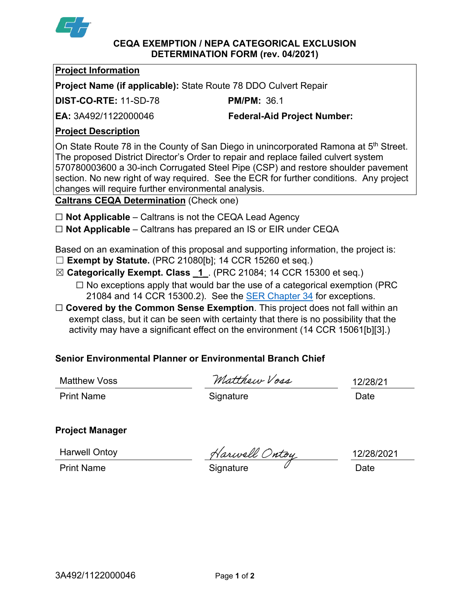

#### **CEQA EXEMPTION / NEPA CATEGORICAL EXCLUSION DETERMINATION FORM (rev. 04/2021)**

#### **Project Information**

**Project Name (if applicable):** State Route 78 DDO Culvert Repair

**DIST-CO-RTE:** 11-SD-78 **PM/PM:** 36.1

**EA:** 3A492/1122000046 **Federal-Aid Project Number:**

## **Project Description**

On State Route 78 in the County of San Diego in unincorporated Ramona at 5<sup>th</sup> Street. The proposed District Director's Order to repair and replace failed culvert system 570780003600 a 30-inch Corrugated Steel Pipe (CSP) and restore shoulder pavement section. No new right of way required. See the ECR for further conditions. Any project changes will require further environmental analysis.

**Caltrans CEQA Determination** (Check one)

- ☐ **Not Applicable** Caltrans is not the CEQA Lead Agency
- ☐ **Not Applicable** Caltrans has prepared an IS or EIR under CEQA

Based on an examination of this proposal and supporting information, the project is:

- ☐ **Exempt by Statute.** (PRC 21080[b]; 14 CCR 15260 et seq.)
- ☒ **Categorically Exempt. Class \_1\_**. (PRC 21084; 14 CCR 15300 et seq.)  $\Box$  No exceptions apply that would bar the use of a categorical exemption (PRC
	- 21084 and 14 CCR 15300.2). See the **SER Chapter 34** for exceptions.
- □ **Covered by the Common Sense Exemption**. This project does not fall within an exempt class, but it can be seen with certainty that there is no possibility that the activity may have a significant effect on the environment (14 CCR 15061[b][3].)

# **Senior Environmental Planner or Environmental Branch Chief**

Matthew Voss

Matthew Voss

Print Name **Signature Date** 

12/28/21

**Project Manager**

Harwell Ontoy

Harwell Ontoy<br>Print Name Trint Name Signature Date

12/28/2021